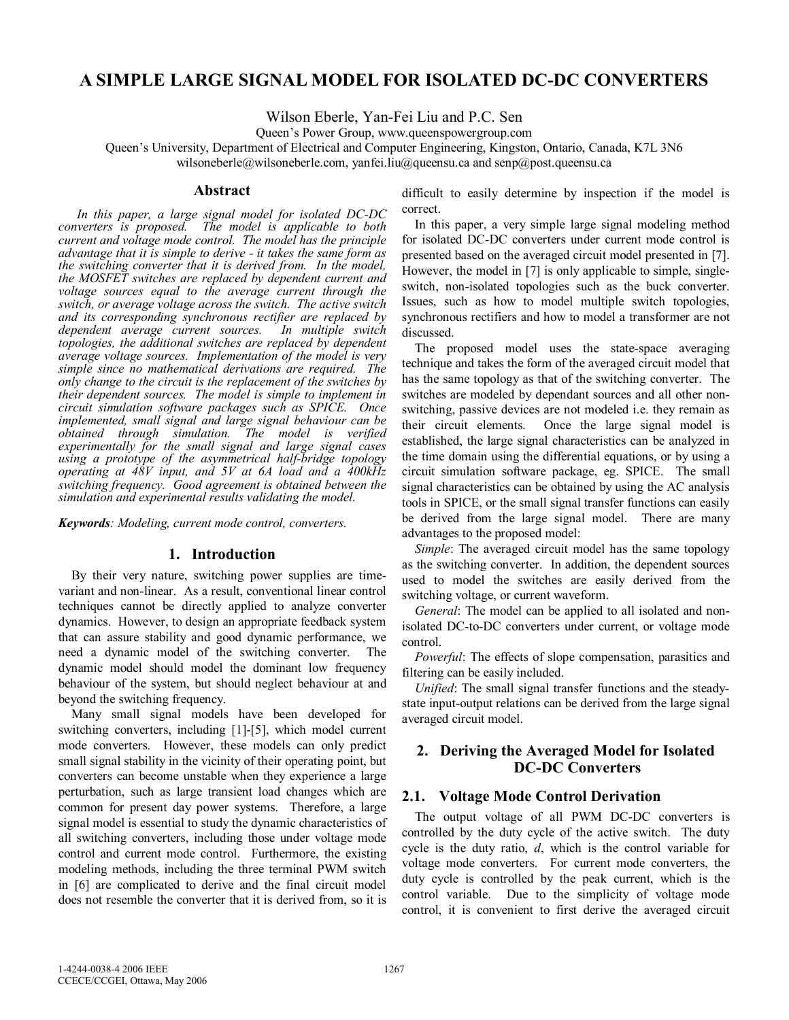# **A SIMPLE LARGE SIGNAL MODEL FOR ISOLATED DC-DC CONVERTERS**

Wilson Eberle, Yan-Fei Liu and P.C. Sen

Queen's Power Group, www.queenspowergroup.com

Queen's University, Department of Electrical and Computer Engineering, Kingston, Ontario, Canada, K7L 3N6 wilsoneberle@wilsoneberle.com, yanfei.liu@queensu.ca and senp@post.queensu.ca

#### **Abstract**

*In this paper, a large signal model for isolated DC-DC converters is proposed. The model is applicable to both current and voltage mode control. The model has the principle advantage that it is simple to derive - it takes the same form as the switching converter that it is derived from. In the model, the MOSFET switches are replaced by dependent current and voltage sources equal to the average current through the switch, or average voltage across the switch. The active switch and its corresponding synchronous rectifier are replaced by dependent average current sources. In multiple switch topologies, the additional switches are replaced by dependent average voltage sources. Implementation of the model is very simple since no mathematical derivations are required. The only change to the circuit is the replacement of the switches by their dependent sources. The model is simple to implement in circuit simulation software packages such as SPICE. Once implemented, small signal and large signal behaviour can be obtained through simulation. The model is verified experimentally for the small signal and large signal cases using a prototype of the asymmetrical half-bridge topology operating at 48V input, and 5V at 6A load and a 400kHz switching frequency. Good agreement is obtained between the simulation and experimental results validating the model.* 

*Keywords: Modeling, current mode control, converters.* 

## **1. Introduction**

By their very nature, switching power supplies are timevariant and non-linear. As a result, conventional linear control techniques cannot be directly applied to analyze converter dynamics. However, to design an appropriate feedback system that can assure stability and good dynamic performance, we need a dynamic model of the switching converter. The dynamic model should model the dominant low frequency behaviour of the system, but should neglect behaviour at and beyond the switching frequency.

Many small signal models have been developed for switching converters, including [1]-[5], which model current mode converters. However, these models can only predict small signal stability in the vicinity of their operating point, but converters can become unstable when they experience a large perturbation, such as large transient load changes which are common for present day power systems. Therefore, a large signal model is essential to study the dynamic characteristics of all switching converters, including those under voltage mode control and current mode control. Furthermore, the existing modeling methods, including the three terminal PWM switch in [6] are complicated to derive and the final circuit model does not resemble the converter that it is derived from, so it is difficult to easily determine by inspection if the model is correct.

In this paper, a very simple large signal modeling method for isolated DC-DC converters under current mode control is presented based on the averaged circuit model presented in [7]. However, the model in [7] is only applicable to simple, singleswitch, non-isolated topologies such as the buck converter. Issues, such as how to model multiple switch topologies, synchronous rectifiers and how to model a transformer are not discussed.

The proposed model uses the state-space averaging technique and takes the form of the averaged circuit model that has the same topology as that of the switching converter. The switches are modeled by dependant sources and all other nonswitching, passive devices are not modeled i.e. they remain as their circuit elements. Once the large signal model is established, the large signal characteristics can be analyzed in the time domain using the differential equations, or by using a circuit simulation software package, eg. SPICE. The small signal characteristics can be obtained by using the AC analysis tools in SPICE, or the small signal transfer functions can easily be derived from the large signal model. There are many advantages to the proposed model:

*Simple*: The averaged circuit model has the same topology as the switching converter. In addition, the dependent sources used to model the switches are easily derived from the switching voltage, or current waveform.

*General*: The model can be applied to all isolated and nonisolated DC-to-DC converters under current, or voltage mode control.

*Powerful*: The effects of slope compensation, parasitics and filtering can be easily included.

*Unified*: The small signal transfer functions and the steadystate input-output relations can be derived from the large signal averaged circuit model.

# **2. Deriving the Averaged Model for Isolated DC-DC Converters**

## **2.1. Voltage Mode Control Derivation**

The output voltage of all PWM DC-DC converters is controlled by the duty cycle of the active switch. The duty cycle is the duty ratio, *d*, which is the control variable for voltage mode converters. For current mode converters, the duty cycle is controlled by the peak current, which is the control variable. Due to the simplicity of voltage mode control, it is convenient to first derive the averaged circuit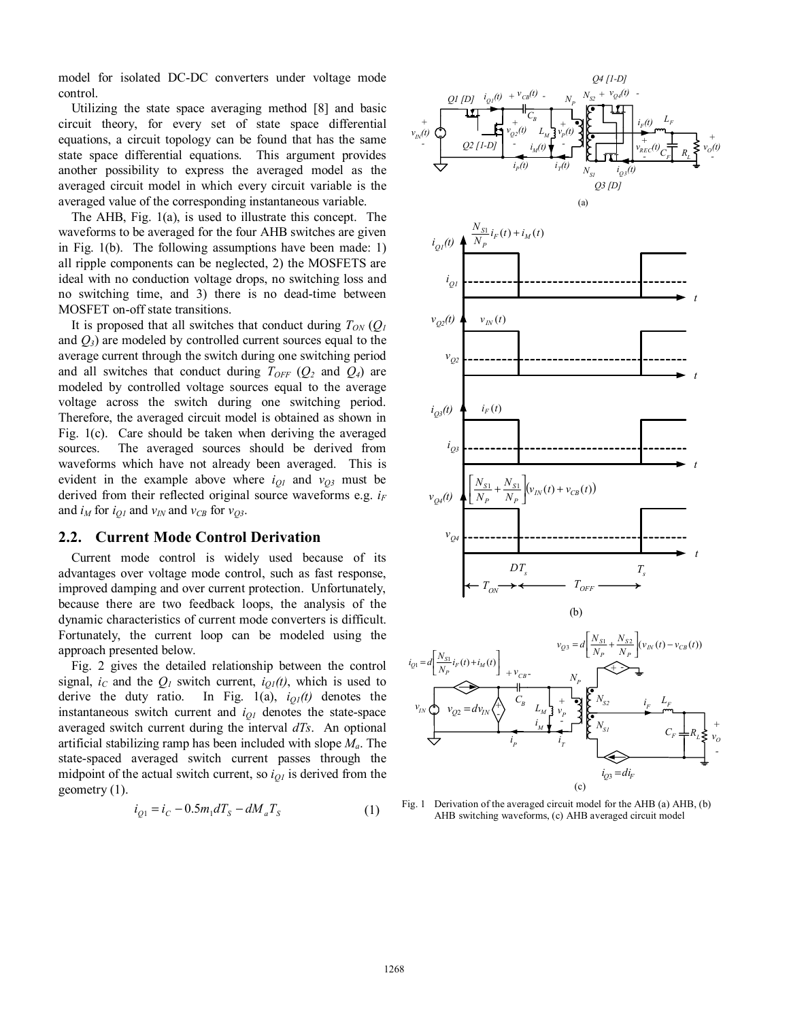model for isolated DC-DC converters under voltage mode control.

Utilizing the state space averaging method [8] and basic circuit theory, for every set of state space differential equations, a circuit topology can be found that has the same state space differential equations. This argument provides another possibility to express the averaged model as the averaged circuit model in which every circuit variable is the averaged value of the corresponding instantaneous variable.

The AHB, Fig. 1(a), is used to illustrate this concept. The waveforms to be averaged for the four AHB switches are given in Fig. 1(b). The following assumptions have been made: 1) all ripple components can be neglected, 2) the MOSFETS are ideal with no conduction voltage drops, no switching loss and no switching time, and 3) there is no dead-time between MOSFET on-off state transitions.

It is proposed that all switches that conduct during  $T_{ON}(Q)$ and *Q3*) are modeled by controlled current sources equal to the average current through the switch during one switching period and all switches that conduct during  $T_{OFF}$  ( $Q_2$  and  $Q_4$ ) are modeled by controlled voltage sources equal to the average voltage across the switch during one switching period. Therefore, the averaged circuit model is obtained as shown in Fig. 1(c). Care should be taken when deriving the averaged sources. The averaged sources should be derived from waveforms which have not already been averaged. This is evident in the example above where  $i_{QI}$  and  $v_{Q3}$  must be derived from their reflected original source waveforms e.g.  $i_F$ and  $i_M$  for  $i_{O1}$  and  $v_{IN}$  and  $v_{CB}$  for  $v_{O3}$ .

## **2.2. Current Mode Control Derivation**

Current mode control is widely used because of its advantages over voltage mode control, such as fast response, improved damping and over current protection. Unfortunately, because there are two feedback loops, the analysis of the dynamic characteristics of current mode converters is difficult. Fortunately, the current loop can be modeled using the approach presented below.

Fig. 2 gives the detailed relationship between the control signal,  $i_c$  and the  $Q_l$  switch current,  $i_{Q_l}(t)$ , which is used to derive the duty ratio. In Fig.  $1(a)$ ,  $i_{Q1}(t)$  denotes the instantaneous switch current and *iQ1* denotes the state-space averaged switch current during the interval *dTs*. An optional artificial stabilizing ramp has been included with slope *Ma*. The state-spaced averaged switch current passes through the midpoint of the actual switch current, so  $i_{01}$  is derived from the geometry (1).

$$
i_{Q1} = i_C - 0.5m_1 dT_s - dM_a T_s \tag{1}
$$



Fig. 1 Derivation of the averaged circuit model for the AHB (a) AHB, (b) AHB switching waveforms, (c) AHB averaged circuit model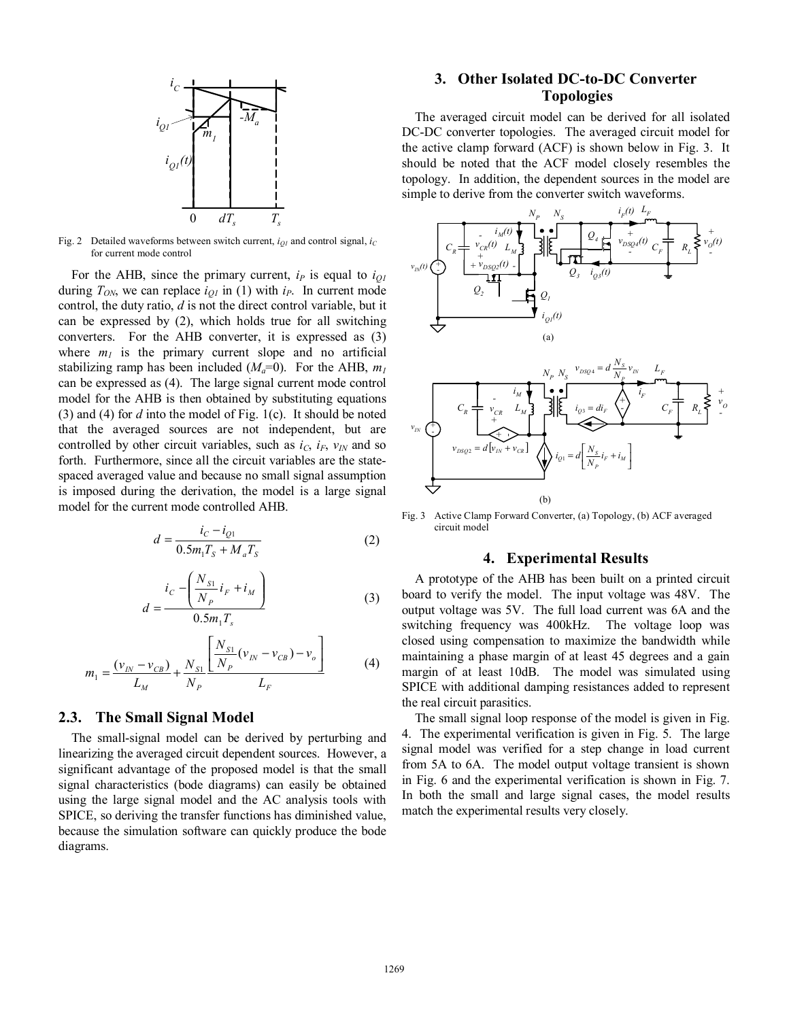

Fig. 2 Detailed waveforms between switch current,  $i_{QI}$  and control signal,  $i_C$ for current mode control

For the AHB, since the primary current,  $i_P$  is equal to  $i_{QI}$ during  $T_{ON}$ , we can replace  $i_{OI}$  in (1) with  $i_P$ . In current mode control, the duty ratio, *d* is not the direct control variable, but it can be expressed by (2), which holds true for all switching converters. For the AHB converter, it is expressed as (3) where  $m_l$  is the primary current slope and no artificial stabilizing ramp has been included  $(M_a=0)$ . For the AHB,  $m_l$ can be expressed as (4). The large signal current mode control model for the AHB is then obtained by substituting equations (3) and (4) for *d* into the model of Fig. 1(c). It should be noted that the averaged sources are not independent, but are controlled by other circuit variables, such as  $i_C$ ,  $i_F$ ,  $v_{IN}$  and so forth. Furthermore, since all the circuit variables are the statespaced averaged value and because no small signal assumption is imposed during the derivation, the model is a large signal model for the current mode controlled AHB.

$$
d = \frac{i_c - i_{Q1}}{0.5m_1T_s + M_aT_s}
$$
 (2)

$$
d = \frac{i_C - \left(\frac{N_{S1}}{N_P}i_F + i_M\right)}{0.5m_1T_s}
$$
 (3)

$$
m_1 = \frac{(v_{IN} - v_{CB})}{L_M} + \frac{N_{S1}}{N_P} \frac{\left[\frac{N_{S1}}{N_P}(v_{IN} - v_{CB}) - v_o\right]}{L_F}
$$
(4)

## **2.3. The Small Signal Model**

The small-signal model can be derived by perturbing and linearizing the averaged circuit dependent sources. However, a significant advantage of the proposed model is that the small signal characteristics (bode diagrams) can easily be obtained using the large signal model and the AC analysis tools with SPICE, so deriving the transfer functions has diminished value, because the simulation software can quickly produce the bode diagrams.

# **3. Other Isolated DC-to-DC Converter Topologies**

The averaged circuit model can be derived for all isolated DC-DC converter topologies. The averaged circuit model for the active clamp forward (ACF) is shown below in Fig. 3. It should be noted that the ACF model closely resembles the topology. In addition, the dependent sources in the model are simple to derive from the converter switch waveforms.



Fig. 3 Active Clamp Forward Converter, (a) Topology, (b) ACF averaged circuit model

## **4. Experimental Results**

A prototype of the AHB has been built on a printed circuit board to verify the model. The input voltage was 48V. The output voltage was 5V. The full load current was 6A and the switching frequency was 400kHz. The voltage loop was closed using compensation to maximize the bandwidth while maintaining a phase margin of at least 45 degrees and a gain margin of at least 10dB. The model was simulated using SPICE with additional damping resistances added to represent the real circuit parasitics.

The small signal loop response of the model is given in Fig. 4. The experimental verification is given in Fig. 5. The large signal model was verified for a step change in load current from 5A to 6A. The model output voltage transient is shown in Fig. 6 and the experimental verification is shown in Fig. 7. In both the small and large signal cases, the model results match the experimental results very closely.